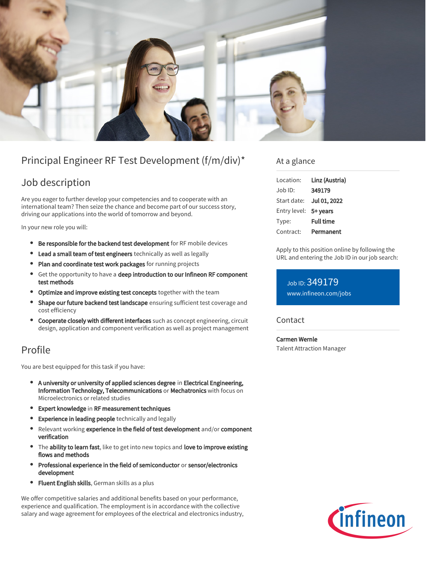

# Principal Engineer RF Test Development (f/m/div)\*

## Job description

Are you eager to further develop your competencies and to cooperate with an international team? Then seize the chance and become part of our success story, driving our applications into the world of tomorrow and beyond.

In your new role you will:

- **Be responsible for the backend test development** for RF mobile devices
- **Lead a small team of test engineers** technically as well as legally
- Plan and coordinate test work packages for running projects
- **•** Get the opportunity to have a deep introduction to our Infineon RF component test methods
- **Optimize and improve existing test concepts** together with the team
- **Shape our future backend test landscape** ensuring sufficient test coverage and cost efficiency
- **Cooperate closely with different interfaces** such as concept engineering, circuit design, application and component verification as well as project management

### Profile

You are best equipped for this task if you have:

- A university or university of applied sciences degree in Electrical Engineering, Information Technology, Telecommunications or Mechatronics with focus on Microelectronics or related studies
- Expert knowledge in RF measurement techniques
- Experience in leading people technically and legally
- Relevant working experience in the field of test development and/or component verification
- The ability to learn fast, like to get into new topics and love to improve existing flows and methods
- $\bullet$ Professional experience in the field of semiconductor or sensor/electronics development
- **Fluent English skills**, German skills as a plus

We offer competitive salaries and additional benefits based on your performance, experience and qualification. The employment is in accordance with the collective salary and wage agreement for employees of the electrical and electronics industry,

### At a glance

| Location:    | Linz (Austria)   |
|--------------|------------------|
| Job ID:      | 349179           |
| Start date:  | Jul 01, 2022     |
| Entry level: | 5+ years         |
| Type:        | <b>Full time</b> |
| Contract:    | Permanent        |

Apply to this position online by following the URL and entering the Job ID in our job search:

Job ID: 349179 [www.infineon.com/jobs](https://www.infineon.com/jobs)

### **Contact**

Carmen Wernle Talent Attraction Manager